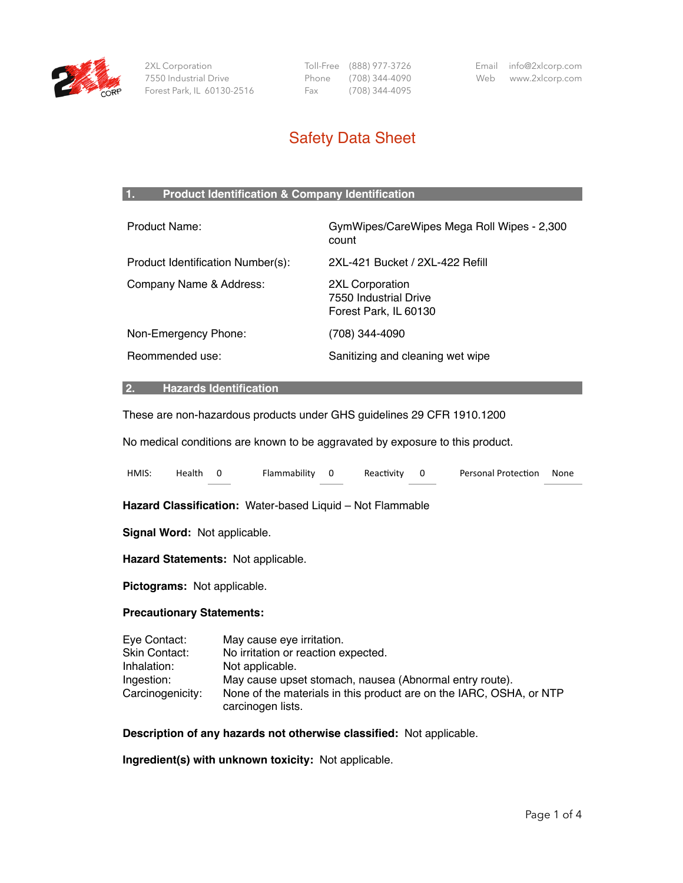

 2XL Corporation 7550 Industrial Drive Forest Park, IL 60130-2516  Toll-Free (888) 977-3726 Phone (708) 344-4090 Fax (708) 344-4095

Email info@2xlcorp.com Web www.2xlcorp.com

# Safety Data Sheet

# **1. Product Identification & Company Identification**

| Product Name:                     | GymWipes/CareWipes Mega Roll Wipes - 2,300<br>count               |
|-----------------------------------|-------------------------------------------------------------------|
| Product Identification Number(s): | 2XL-421 Bucket / 2XL-422 Refill                                   |
| Company Name & Address:           | 2XL Corporation<br>7550 Industrial Drive<br>Forest Park, IL 60130 |
| Non-Emergency Phone:              | (708) 344-4090                                                    |
| Reommended use:                   | Sanitizing and cleaning wet wipe                                  |

# **2. Hazards Identification**

These are non-hazardous products under GHS guidelines 29 CFR 1910.1200

No medical conditions are known to be aggravated by exposure to this product.

| HMIS:        | Health | $\overline{\mathbf{0}}$             | Flammability                                              | $\overline{\mathbf{0}}$ | Reactivity | 0 | Personal Protection | None |
|--------------|--------|-------------------------------------|-----------------------------------------------------------|-------------------------|------------|---|---------------------|------|
|              |        |                                     | Hazard Classification: Water-based Liquid - Not Flammable |                         |            |   |                     |      |
|              |        | <b>Signal Word: Not applicable.</b> |                                                           |                         |            |   |                     |      |
|              |        |                                     | Hazard Statements: Not applicable.                        |                         |            |   |                     |      |
|              |        | Pictograms: Not applicable.         |                                                           |                         |            |   |                     |      |
|              |        | <b>Precautionary Statements:</b>    |                                                           |                         |            |   |                     |      |
| Eve Contact: |        |                                     | law cause ave irritation                                  |                         |            |   |                     |      |

| Eye Contact:     | May cause eye irritation.                                                                |
|------------------|------------------------------------------------------------------------------------------|
| Skin Contact:    | No irritation or reaction expected.                                                      |
| Inhalation:      | Not applicable.                                                                          |
| Ingestion:       | May cause upset stomach, nausea (Abnormal entry route).                                  |
| Carcinogenicity: | None of the materials in this product are on the IARC, OSHA, or NTP<br>carcinogen lists. |

**Description of any hazards not otherwise classified:** Not applicable.

**Ingredient(s) with unknown toxicity:** Not applicable.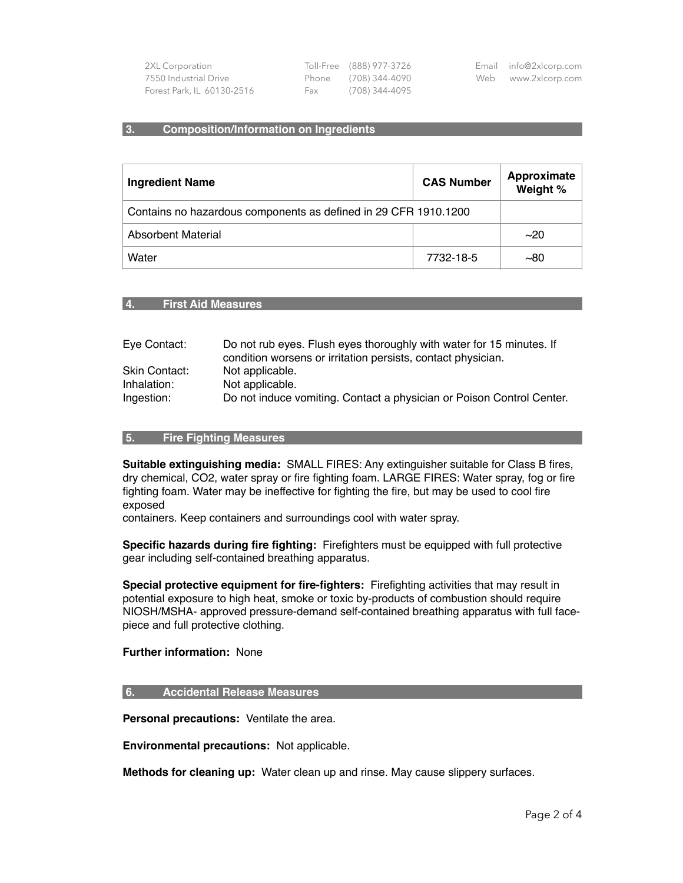| 2XL Corporation            |     | Toll-Free (888) 977-3726 | Email info@2xlcorp.com |
|----------------------------|-----|--------------------------|------------------------|
| 7550 Industrial Drive      |     | Phone (708) 344-4090     | Web www.2xlcorp.com    |
| Forest Park, IL 60130-2516 | Fax | (708) 344-4095           |                        |

#### **3. Composition/Information on Ingredients**

| <b>Ingredient Name</b>                                          | <b>CAS Number</b> | Approximate<br>Weight % |
|-----------------------------------------------------------------|-------------------|-------------------------|
| Contains no hazardous components as defined in 29 CFR 1910.1200 |                   |                         |
| Absorbent Material                                              |                   | ~20                     |
| Water                                                           | 7732-18-5         | ~100                    |

#### **4. First Aid Measures**

| Eye Contact:         | Do not rub eyes. Flush eyes thoroughly with water for 15 minutes. If<br>condition worsens or irritation persists, contact physician. |
|----------------------|--------------------------------------------------------------------------------------------------------------------------------------|
| <b>Skin Contact:</b> | Not applicable.                                                                                                                      |
| Inhalation:          | Not applicable.                                                                                                                      |
| Ingestion:           | Do not induce vomiting. Contact a physician or Poison Control Center.                                                                |

## **5. Fire Fighting Measures**

**Suitable extinguishing media:** SMALL FIRES: Any extinguisher suitable for Class B fires, dry chemical, CO2, water spray or fire fighting foam. LARGE FIRES: Water spray, fog or fire fighting foam. Water may be ineffective for fighting the fire, but may be used to cool fire exposed

containers. Keep containers and surroundings cool with water spray.

**Specific hazards during fire fighting:** Firefighters must be equipped with full protective gear including self-contained breathing apparatus.

**Special protective equipment for fire-fighters:** Firefighting activities that may result in potential exposure to high heat, smoke or toxic by-products of combustion should require NIOSH/MSHA- approved pressure-demand self-contained breathing apparatus with full facepiece and full protective clothing.

#### **Further information:** None

#### **6. Accidental Release Measures**

**Personal precautions:** Ventilate the area.

**Environmental precautions:** Not applicable.

**Methods for cleaning up:** Water clean up and rinse. May cause slippery surfaces.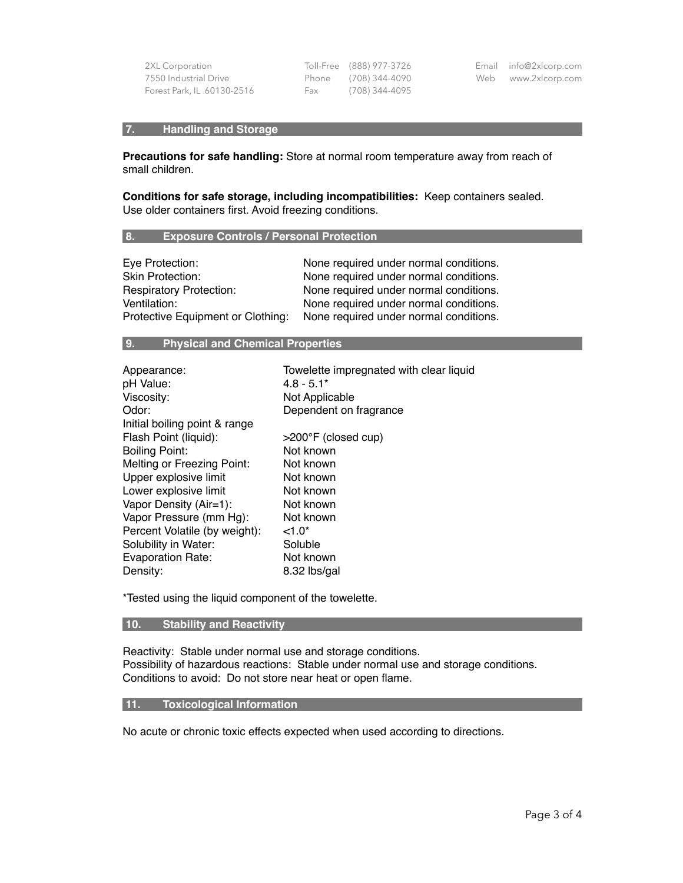| 2XL Corporation            |  |
|----------------------------|--|
| 7550 Industrial Drive      |  |
| Forest Park, IL 60130-2516 |  |

 Toll-Free (888) 977-3726 Phone (708) 344-4090 Fax (708) 344-4095

# **7. Handling and Storage**

**Precautions for safe handling:** Store at normal room temperature away from reach of small children.

**Conditions for safe storage, including incompatibilities:** Keep containers sealed. Use older containers first. Avoid freezing conditions.

#### **8. Exposure Controls / Personal Protection**

| Eye Protection:                   | None required under normal conditions. |
|-----------------------------------|----------------------------------------|
| <b>Skin Protection:</b>           | None required under normal conditions. |
| <b>Respiratory Protection:</b>    | None required under normal conditions. |
| Ventilation:                      | None required under normal conditions. |
| Protective Equipment or Clothing: | None required under normal conditions. |

# **9. Physical and Chemical Properties**

| Towelette impregnated with clear liquid |
|-----------------------------------------|
| $4.8 - 5.1*$                            |
| Not Applicable                          |
| Dependent on fragrance                  |
|                                         |
| $>200^{\circ}$ F (closed cup)           |
| Not known                               |
| Not known                               |
| Not known                               |
| Not known                               |
| Not known                               |
| Not known                               |
| $< 1.0*$                                |
| Soluble                                 |
| Not known                               |
| 8.32 lbs/gal                            |
|                                         |

\*Tested using the liquid component of the towelette.

## **10. Stability and Reactivity**

Reactivity: Stable under normal use and storage conditions. Possibility of hazardous reactions: Stable under normal use and storage conditions. Conditions to avoid: Do not store near heat or open flame.

## **11. Toxicological Information**

No acute or chronic toxic effects expected when used according to directions.